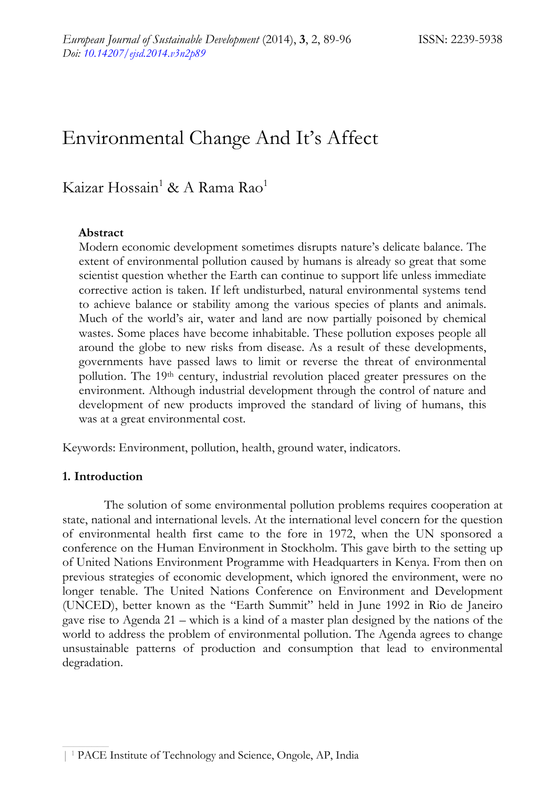# Environmental Change And It's Affect

# Kaizar Hossain<sup>1</sup> & A Rama Rao<sup>1</sup>

#### **Abstract**

Modern economic development sometimes disrupts nature's delicate balance. The extent of environmental pollution caused by humans is already so great that some scientist question whether the Earth can continue to support life unless immediate corrective action is taken. If left undisturbed, natural environmental systems tend to achieve balance or stability among the various species of plants and animals. Much of the world's air, water and land are now partially poisoned by chemical wastes. Some places have become inhabitable. These pollution exposes people all around the globe to new risks from disease. As a result of these developments, governments have passed laws to limit or reverse the threat of environmental pollution. The 19th century, industrial revolution placed greater pressures on the environment. Although industrial development through the control of nature and development of new products improved the standard of living of humans, this was at a great environmental cost.

Keywords: Environment, pollution, health, ground water, indicators.

#### **1. Introduction**

The solution of some environmental pollution problems requires cooperation at state, national and international levels. At the international level concern for the question of environmental health first came to the fore in 1972, when the UN sponsored a conference on the Human Environment in Stockholm. This gave birth to the setting up of United Nations Environment Programme with Headquarters in Kenya. From then on previous strategies of economic development, which ignored the environment, were no longer tenable. The United Nations Conference on Environment and Development (UNCED), better known as the "Earth Summit" held in June 1992 in Rio de Janeiro gave rise to Agenda 21 – which is a kind of a master plan designed by the nations of the world to address the problem of environmental pollution. The Agenda agrees to change unsustainable patterns of production and consumption that lead to environmental degradation.

<sup>| 1</sup> PACE Institute of Technology and Science, Ongole, AP, India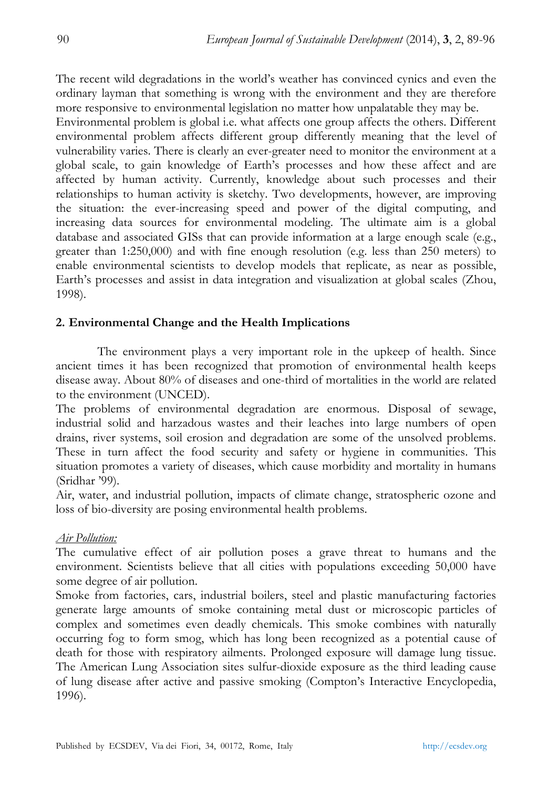The recent wild degradations in the world's weather has convinced cynics and even the ordinary layman that something is wrong with the environment and they are therefore more responsive to environmental legislation no matter how unpalatable they may be.

Environmental problem is global i.e. what affects one group affects the others. Different environmental problem affects different group differently meaning that the level of vulnerability varies. There is clearly an ever-greater need to monitor the environment at a global scale, to gain knowledge of Earth's processes and how these affect and are affected by human activity. Currently, knowledge about such processes and their relationships to human activity is sketchy. Two developments, however, are improving the situation: the ever-increasing speed and power of the digital computing, and increasing data sources for environmental modeling. The ultimate aim is a global database and associated GISs that can provide information at a large enough scale (e.g., greater than 1:250,000) and with fine enough resolution (e.g. less than 250 meters) to enable environmental scientists to develop models that replicate, as near as possible, Earth's processes and assist in data integration and visualization at global scales (Zhou, 1998).

#### **2. Environmental Change and the Health Implications**

The environment plays a very important role in the upkeep of health. Since ancient times it has been recognized that promotion of environmental health keeps disease away. About 80% of diseases and one-third of mortalities in the world are related to the environment (UNCED).

The problems of environmental degradation are enormous. Disposal of sewage, industrial solid and harzadous wastes and their leaches into large numbers of open drains, river systems, soil erosion and degradation are some of the unsolved problems. These in turn affect the food security and safety or hygiene in communities. This situation promotes a variety of diseases, which cause morbidity and mortality in humans (Sridhar '99).

Air, water, and industrial pollution, impacts of climate change, stratospheric ozone and loss of bio-diversity are posing environmental health problems.

#### *Air Pollution:*

The cumulative effect of air pollution poses a grave threat to humans and the environment. Scientists believe that all cities with populations exceeding 50,000 have some degree of air pollution.

Smoke from factories, cars, industrial boilers, steel and plastic manufacturing factories generate large amounts of smoke containing metal dust or microscopic particles of complex and sometimes even deadly chemicals. This smoke combines with naturally occurring fog to form smog, which has long been recognized as a potential cause of death for those with respiratory ailments. Prolonged exposure will damage lung tissue. The American Lung Association sites sulfur-dioxide exposure as the third leading cause of lung disease after active and passive smoking (Compton's Interactive Encyclopedia, 1996).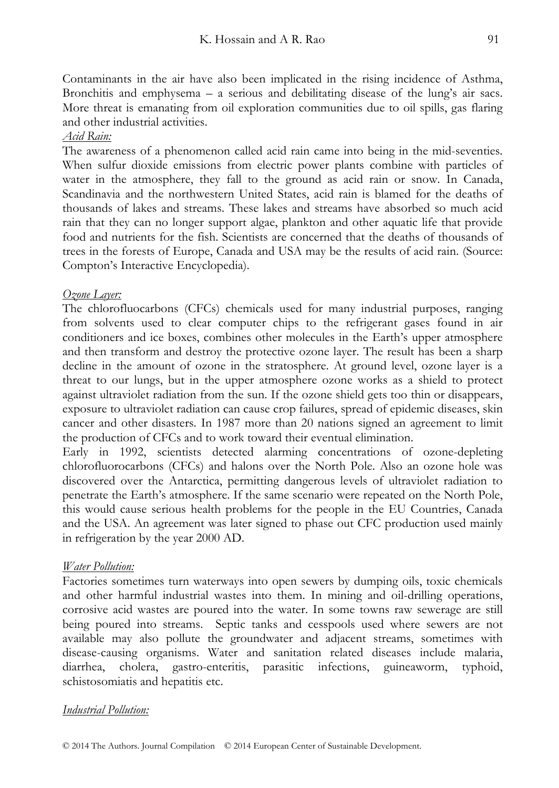Contaminants in the air have also been implicated in the rising incidence of Asthma, Bronchitis and emphysema – a serious and debilitating disease of the lung's air sacs. More threat is emanating from oil exploration communities due to oil spills, gas flaring and other industrial activities.

#### *Acid Rain:*

The awareness of a phenomenon called acid rain came into being in the mid-seventies. When sulfur dioxide emissions from electric power plants combine with particles of water in the atmosphere, they fall to the ground as acid rain or snow. In Canada, Scandinavia and the northwestern United States, acid rain is blamed for the deaths of thousands of lakes and streams. These lakes and streams have absorbed so much acid rain that they can no longer support algae, plankton and other aquatic life that provide food and nutrients for the fish. Scientists are concerned that the deaths of thousands of trees in the forests of Europe, Canada and USA may be the results of acid rain. (Source: Compton's Interactive Encyclopedia).

#### *Ozone Layer:*

The chlorofluocarbons (CFCs) chemicals used for many industrial purposes, ranging from solvents used to clear computer chips to the refrigerant gases found in air conditioners and ice boxes, combines other molecules in the Earth's upper atmosphere and then transform and destroy the protective ozone layer. The result has been a sharp decline in the amount of ozone in the stratosphere. At ground level, ozone layer is a threat to our lungs, but in the upper atmosphere ozone works as a shield to protect against ultraviolet radiation from the sun. If the ozone shield gets too thin or disappears, exposure to ultraviolet radiation can cause crop failures, spread of epidemic diseases, skin cancer and other disasters. In 1987 more than 20 nations signed an agreement to limit the production of CFCs and to work toward their eventual elimination.

Early in 1992, scientists detected alarming concentrations of ozone-depleting chlorofluorocarbons (CFCs) and halons over the North Pole. Also an ozone hole was discovered over the Antarctica, permitting dangerous levels of ultraviolet radiation to penetrate the Earth's atmosphere. If the same scenario were repeated on the North Pole, this would cause serious health problems for the people in the EU Countries, Canada and the USA. An agreement was later signed to phase out CFC production used mainly in refrigeration by the year 2000 AD.

#### *Water Pollution:*

Factories sometimes turn waterways into open sewers by dumping oils, toxic chemicals and other harmful industrial wastes into them. In mining and oil-drilling operations, corrosive acid wastes are poured into the water. In some towns raw sewerage are still being poured into streams. Septic tanks and cesspools used where sewers are not available may also pollute the groundwater and adjacent streams, sometimes with disease-causing organisms. Water and sanitation related diseases include malaria, diarrhea, cholera, gastro-enteritis, parasitic infections, guineaworm, typhoid, schistosomiatis and hepatitis etc.

#### *Industrial Pollution:*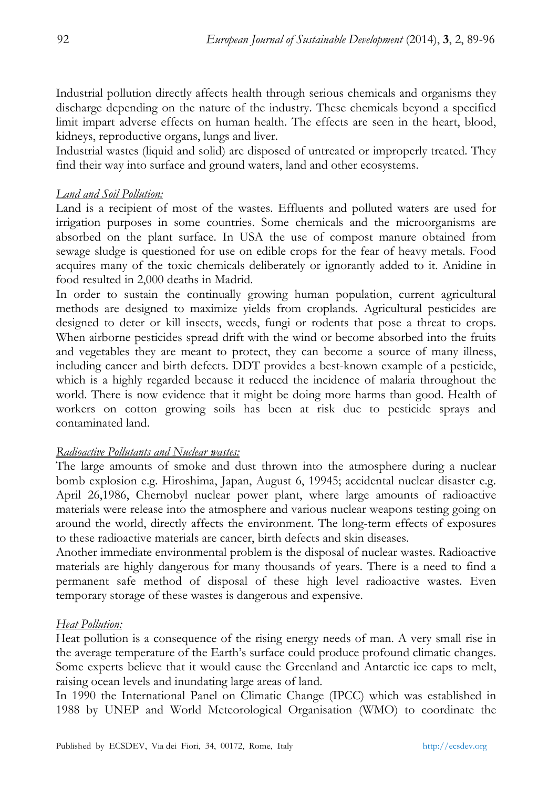Industrial pollution directly affects health through serious chemicals and organisms they discharge depending on the nature of the industry. These chemicals beyond a specified limit impart adverse effects on human health. The effects are seen in the heart, blood, kidneys, reproductive organs, lungs and liver.

Industrial wastes (liquid and solid) are disposed of untreated or improperly treated. They find their way into surface and ground waters, land and other ecosystems.

#### *Land and Soil Pollution:*

Land is a recipient of most of the wastes. Effluents and polluted waters are used for irrigation purposes in some countries. Some chemicals and the microorganisms are absorbed on the plant surface. In USA the use of compost manure obtained from sewage sludge is questioned for use on edible crops for the fear of heavy metals. Food acquires many of the toxic chemicals deliberately or ignorantly added to it. Anidine in food resulted in 2,000 deaths in Madrid.

In order to sustain the continually growing human population, current agricultural methods are designed to maximize yields from croplands. Agricultural pesticides are designed to deter or kill insects, weeds, fungi or rodents that pose a threat to crops. When airborne pesticides spread drift with the wind or become absorbed into the fruits and vegetables they are meant to protect, they can become a source of many illness, including cancer and birth defects. DDT provides a best-known example of a pesticide, which is a highly regarded because it reduced the incidence of malaria throughout the world. There is now evidence that it might be doing more harms than good. Health of workers on cotton growing soils has been at risk due to pesticide sprays and contaminated land.

#### *Radioactive Pollutants and Nuclear wastes:*

The large amounts of smoke and dust thrown into the atmosphere during a nuclear bomb explosion e.g. Hiroshima, Japan, August 6, 19945; accidental nuclear disaster e.g. April 26,1986, Chernobyl nuclear power plant, where large amounts of radioactive materials were release into the atmosphere and various nuclear weapons testing going on around the world, directly affects the environment. The long-term effects of exposures to these radioactive materials are cancer, birth defects and skin diseases.

Another immediate environmental problem is the disposal of nuclear wastes. Radioactive materials are highly dangerous for many thousands of years. There is a need to find a permanent safe method of disposal of these high level radioactive wastes. Even temporary storage of these wastes is dangerous and expensive.

#### *Heat Pollution:*

Heat pollution is a consequence of the rising energy needs of man. A very small rise in the average temperature of the Earth's surface could produce profound climatic changes. Some experts believe that it would cause the Greenland and Antarctic ice caps to melt, raising ocean levels and inundating large areas of land.

In 1990 the International Panel on Climatic Change (IPCC) which was established in 1988 by UNEP and World Meteorological Organisation (WMO) to coordinate the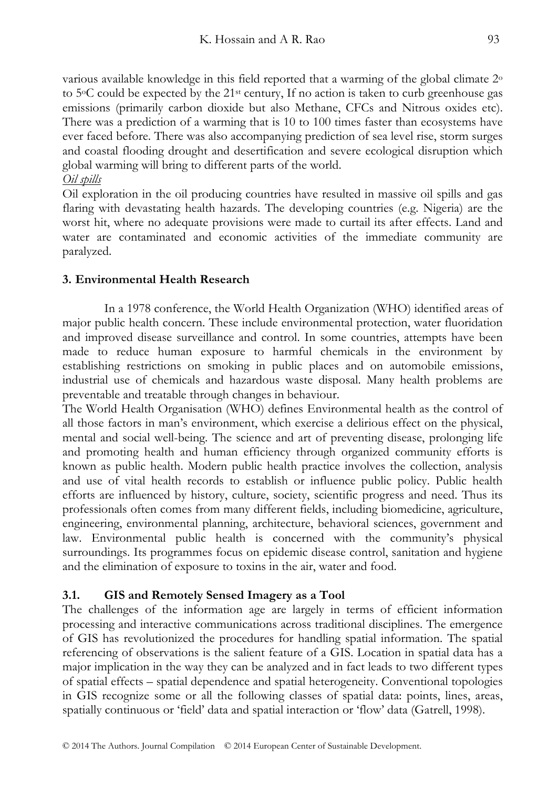various available knowledge in this field reported that a warming of the global climate 2o to  $5^{\circ}$ C could be expected by the  $21^{\text{st}}$  century, If no action is taken to curb greenhouse gas emissions (primarily carbon dioxide but also Methane, CFCs and Nitrous oxides etc). There was a prediction of a warming that is 10 to 100 times faster than ecosystems have ever faced before. There was also accompanying prediction of sea level rise, storm surges and coastal flooding drought and desertification and severe ecological disruption which global warming will bring to different parts of the world.

#### *Oil spills*

Oil exploration in the oil producing countries have resulted in massive oil spills and gas flaring with devastating health hazards. The developing countries (e.g. Nigeria) are the worst hit, where no adequate provisions were made to curtail its after effects. Land and water are contaminated and economic activities of the immediate community are paralyzed.

#### **3. Environmental Health Research**

In a 1978 conference, the World Health Organization (WHO) identified areas of major public health concern. These include environmental protection, water fluoridation and improved disease surveillance and control. In some countries, attempts have been made to reduce human exposure to harmful chemicals in the environment by establishing restrictions on smoking in public places and on automobile emissions, industrial use of chemicals and hazardous waste disposal. Many health problems are preventable and treatable through changes in behaviour.

The World Health Organisation (WHO) defines Environmental health as the control of all those factors in man's environment, which exercise a delirious effect on the physical, mental and social well-being. The science and art of preventing disease, prolonging life and promoting health and human efficiency through organized community efforts is known as public health. Modern public health practice involves the collection, analysis and use of vital health records to establish or influence public policy. Public health efforts are influenced by history, culture, society, scientific progress and need. Thus its professionals often comes from many different fields, including biomedicine, agriculture, engineering, environmental planning, architecture, behavioral sciences, government and law. Environmental public health is concerned with the community's physical surroundings. Its programmes focus on epidemic disease control, sanitation and hygiene and the elimination of exposure to toxins in the air, water and food.

## **3.1. GIS and Remotely Sensed Imagery as a Tool**

The challenges of the information age are largely in terms of efficient information processing and interactive communications across traditional disciplines. The emergence of GIS has revolutionized the procedures for handling spatial information. The spatial referencing of observations is the salient feature of a GIS. Location in spatial data has a major implication in the way they can be analyzed and in fact leads to two different types of spatial effects – spatial dependence and spatial heterogeneity. Conventional topologies in GIS recognize some or all the following classes of spatial data: points, lines, areas, spatially continuous or 'field' data and spatial interaction or 'flow' data (Gatrell, 1998).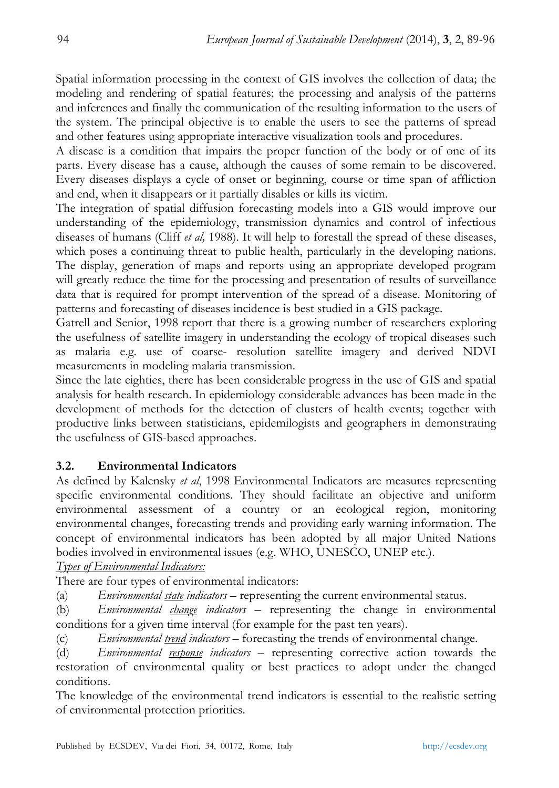Spatial information processing in the context of GIS involves the collection of data; the modeling and rendering of spatial features; the processing and analysis of the patterns and inferences and finally the communication of the resulting information to the users of the system. The principal objective is to enable the users to see the patterns of spread and other features using appropriate interactive visualization tools and procedures.

A disease is a condition that impairs the proper function of the body or of one of its parts. Every disease has a cause, although the causes of some remain to be discovered. Every diseases displays a cycle of onset or beginning, course or time span of affliction and end, when it disappears or it partially disables or kills its victim.

The integration of spatial diffusion forecasting models into a GIS would improve our understanding of the epidemiology, transmission dynamics and control of infectious diseases of humans (Cliff *et al,* 1988). It will help to forestall the spread of these diseases, which poses a continuing threat to public health, particularly in the developing nations. The display, generation of maps and reports using an appropriate developed program will greatly reduce the time for the processing and presentation of results of surveillance data that is required for prompt intervention of the spread of a disease. Monitoring of patterns and forecasting of diseases incidence is best studied in a GIS package.

Gatrell and Senior, 1998 report that there is a growing number of researchers exploring the usefulness of satellite imagery in understanding the ecology of tropical diseases such as malaria e.g. use of coarse- resolution satellite imagery and derived NDVI measurements in modeling malaria transmission.

Since the late eighties, there has been considerable progress in the use of GIS and spatial analysis for health research. In epidemiology considerable advances has been made in the development of methods for the detection of clusters of health events; together with productive links between statisticians, epidemilogists and geographers in demonstrating the usefulness of GIS-based approaches.

## **3.2. Environmental Indicators**

As defined by Kalensky *et al*, 1998 Environmental Indicators are measures representing specific environmental conditions. They should facilitate an objective and uniform environmental assessment of a country or an ecological region, monitoring environmental changes, forecasting trends and providing early warning information. The concept of environmental indicators has been adopted by all major United Nations bodies involved in environmental issues (e.g. WHO, UNESCO, UNEP etc.).

*Types of Environmental Indicators:*

There are four types of environmental indicators:

(a) *Environmental state indicators* – representing the current environmental status.

(b) *Environmental change indicators –* representing the change in environmental conditions for a given time interval (for example for the past ten years).

(c) *Environmental trend indicators –* forecasting the trends of environmental change.

(d) *Environmental response indicators* – representing corrective action towards the restoration of environmental quality or best practices to adopt under the changed conditions.

The knowledge of the environmental trend indicators is essential to the realistic setting of environmental protection priorities.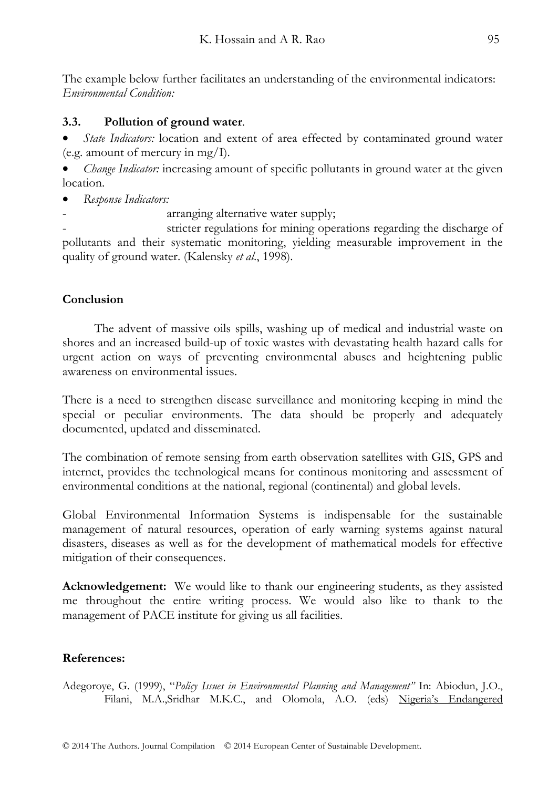The example below further facilitates an understanding of the environmental indicators: *Environmental Condition:* 

# **3.3. Pollution of ground water**.

• *State Indicators:* location and extent of area effected by contaminated ground water (e.g. amount of mercury in mg/I).

• *Change Indicator:* increasing amount of specific pollutants in ground water at the given location.

- *Response Indicators:*
	- arranging alternative water supply;

stricter regulations for mining operations regarding the discharge of pollutants and their systematic monitoring, yielding measurable improvement in the quality of ground water. (Kalensky *et al*., 1998).

# **Conclusion**

 The advent of massive oils spills, washing up of medical and industrial waste on shores and an increased build-up of toxic wastes with devastating health hazard calls for urgent action on ways of preventing environmental abuses and heightening public awareness on environmental issues.

There is a need to strengthen disease surveillance and monitoring keeping in mind the special or peculiar environments. The data should be properly and adequately documented, updated and disseminated.

The combination of remote sensing from earth observation satellites with GIS, GPS and internet, provides the technological means for continous monitoring and assessment of environmental conditions at the national, regional (continental) and global levels.

Global Environmental Information Systems is indispensable for the sustainable management of natural resources, operation of early warning systems against natural disasters, diseases as well as for the development of mathematical models for effective mitigation of their consequences.

**Acknowledgement:** We would like to thank our engineering students, as they assisted me throughout the entire writing process. We would also like to thank to the management of PACE institute for giving us all facilities.

# **References:**

Adegoroye, G. (1999), "*Policy Issues in Environmental Planning and Management"* In: Abiodun, J.O., Filani, M.A., Sridhar M.K.C., and Olomola, A.O. (eds) Nigeria's Endangered